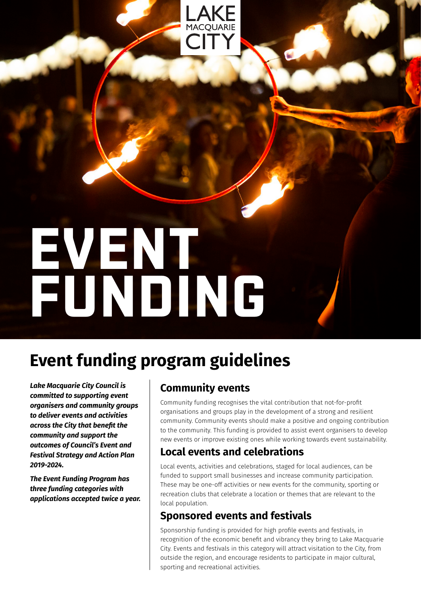# **EVENT FUNDING**

## **Event funding program guidelines**

*Lake Macquarie City Council is committed to supporting event organisers and community groups to deliver events and activities across the City that benefit the community and support the outcomes of Council's Event and Festival Strategy and Action Plan 2019-2024.* 

*The Event Funding Program has three funding categories with applications accepted twice a year.*

## **Community events**

Community funding recognises the vital contribution that not-for-profit organisations and groups play in the development of a strong and resilient community. Community events should make a positive and ongoing contribution to the community. This funding is provided to assist event organisers to develop new events or improve existing ones while working towards event sustainability.

### **Local events and celebrations**

Local events, activities and celebrations, staged for local audiences, can be funded to support small businesses and increase community participation. These may be one-off activities or new events for the community, sporting or recreation clubs that celebrate a location or themes that are relevant to the local population.

## **Sponsored events and festivals**

Sponsorship funding is provided for high profile events and festivals, in recognition of the economic benefit and vibrancy they bring to Lake Macquarie City. Events and festivals in this category will attract visitation to the City, from outside the region, and encourage residents to participate in major cultural, sporting and recreational activities.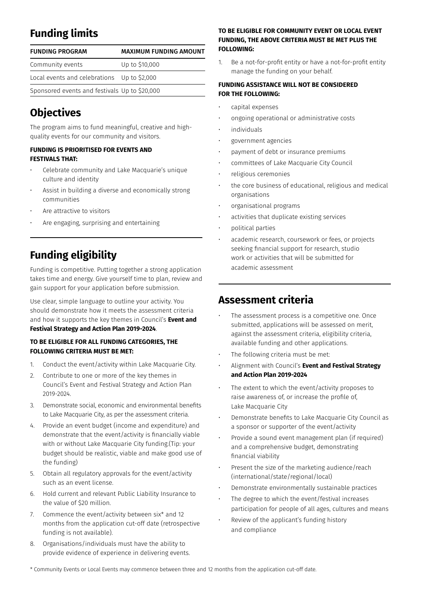## **Funding limits**

| <b>FUNDING PROGRAM</b>                        | <b>MAXIMUM FUNDING AMOUNT</b> |
|-----------------------------------------------|-------------------------------|
| Community events                              | Up to \$10,000                |
| Local events and celebrations Up to \$2,000   |                               |
| Sponsored events and festivals Up to \$20,000 |                               |

## **Objectives**

The program aims to fund meaningful, creative and highquality events for our community and visitors.

#### **FUNDING IS PRIORITISED FOR EVENTS AND FESTIVALS THAT:**

- Celebrate community and Lake Macquarie's unique culture and identity
- Assist in building a diverse and economically strong communities
- Are attractive to visitors
- Are engaging, surprising and entertaining

## **Funding eligibility**

Funding is competitive. Putting together a strong application takes time and energy. Give yourself time to plan, review and gain support for your application before submission.

Use clear, simple language to outline your activity. You should demonstrate how it meets the assessment criteria and how it supports the key themes in Council's **Event and Festival Strategy and Action Plan 2019-2024**.

#### **TO BE ELIGIBLE FOR ALL FUNDING CATEGORIES, THE FOLLOWING CRITERIA MUST BE MET:**

- 1. Conduct the event/activity within Lake Macquarie City.
- 2. Contribute to one or more of the key themes in Council's Event and Festival Strategy and Action Plan 2019-2024.
- 3. Demonstrate social, economic and environmental benefits to Lake Macquarie City, as per the assessment criteria.
- 4. Provide an event budget (income and expenditure) and demonstrate that the event/activity is financially viable with or without Lake Macquarie City funding.(Tip: your budget should be realistic, viable and make good use of the funding)
- 5. Obtain all regulatory approvals for the event/activity such as an event license.
- 6. Hold current and relevant Public Liability Insurance to the value of \$20 million.
- 7. Commence the event/activity between six\* and 12 months from the application cut-off date (retrospective funding is not available).
- 8. Organisations/individuals must have the ability to provide evidence of experience in delivering events.

#### **TO BE ELIGIBLE FOR COMMUNITY EVENT OR LOCAL EVENT FUNDING, THE ABOVE CRITERIA MUST BE MET PLUS THE FOLLOWING:**

1. Be a not-for-profit entity or have a not-for-profit entity manage the funding on your behalf.

#### **FUNDING ASSISTANCE WILL NOT BE CONSIDERED FOR THE FOLLOWING:**

- capital expenses
- ongoing operational or administrative costs
- individuals
- government agencies
- payment of debt or insurance premiums
- committees of Lake Macquarie City Council
- religious ceremonies
- the core business of educational, religious and medical organisations
- organisational programs
- activities that duplicate existing services
- political parties
- academic research, coursework or fees, or projects seeking financial support for research, studio work or activities that will be submitted for academic assessment

## **Assessment criteria**

- The assessment process is a competitive one. Once submitted, applications will be assessed on merit, against the assessment criteria, eligibility criteria, available funding and other applications.
- The following criteria must be met:
- Alignment with Council's **Event and Festival Strategy and Action Plan 2019-2024**
- The extent to which the event/activity proposes to raise awareness of, or increase the profile of, Lake Macquarie City
- Demonstrate benefits to Lake Macquarie City Council as a sponsor or supporter of the event/activity
- Provide a sound event management plan (if required) and a comprehensive budget, demonstrating financial viability
- Present the size of the marketing audience/reach (international/state/regional/local)
- Demonstrate environmentally sustainable practices
- The degree to which the event/festival increases participation for people of all ages, cultures and means
- Review of the applicant's funding history and compliance